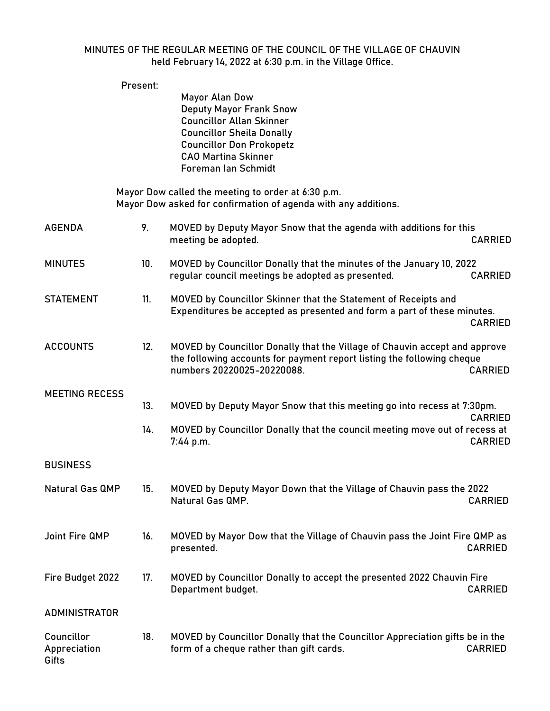## MINUTES OF THE REGULAR MEETING OF THE COUNCIL OF THE VILLAGE OF CHAUVIN held February 14, 2022 at 6:30 p.m. in the Village Office.

Present:

|                                     |     | Mayor Alan Dow<br><b>Deputy Mayor Frank Snow</b><br><b>Councillor Allan Skinner</b><br><b>Councillor Sheila Donally</b><br><b>Councillor Don Prokopetz</b><br><b>CAO Martina Skinner</b><br>Foreman Ian Schmidt |                |
|-------------------------------------|-----|-----------------------------------------------------------------------------------------------------------------------------------------------------------------------------------------------------------------|----------------|
|                                     |     | Mayor Dow called the meeting to order at 6:30 p.m.<br>Mayor Dow asked for confirmation of agenda with any additions.                                                                                            |                |
| <b>AGENDA</b>                       | 9.  | MOVED by Deputy Mayor Snow that the agenda with additions for this<br>meeting be adopted.                                                                                                                       | <b>CARRIED</b> |
| <b>MINUTES</b>                      | 10. | MOVED by Councillor Donally that the minutes of the January 10, 2022<br>regular council meetings be adopted as presented.                                                                                       | <b>CARRIED</b> |
| <b>STATEMENT</b>                    | 11. | MOVED by Councillor Skinner that the Statement of Receipts and<br>Expenditures be accepted as presented and form a part of these minutes.                                                                       | <b>CARRIED</b> |
| <b>ACCOUNTS</b>                     | 12. | MOVED by Councillor Donally that the Village of Chauvin accept and approve<br>the following accounts for payment report listing the following cheque<br>numbers 20220025-20220088.                              | <b>CARRIED</b> |
| <b>MEETING RECESS</b>               | 13. | MOVED by Deputy Mayor Snow that this meeting go into recess at 7:30pm.                                                                                                                                          | <b>CARRIED</b> |
|                                     | 14. | MOVED by Councillor Donally that the council meeting move out of recess at<br>7:44 p.m.                                                                                                                         | <b>CARRIED</b> |
| <b>BUSINESS</b>                     |     |                                                                                                                                                                                                                 |                |
| Natural Gas QMP                     | 15. | MOVED by Deputy Mayor Down that the Village of Chauvin pass the 2022<br>Natural Gas QMP.                                                                                                                        | <b>CARRIED</b> |
| Joint Fire QMP                      | 16. | MOVED by Mayor Dow that the Village of Chauvin pass the Joint Fire QMP as<br>presented.                                                                                                                         | <b>CARRIED</b> |
| Fire Budget 2022                    | 17. | MOVED by Councillor Donally to accept the presented 2022 Chauvin Fire<br>Department budget.                                                                                                                     | <b>CARRIED</b> |
| <b>ADMINISTRATOR</b>                |     |                                                                                                                                                                                                                 |                |
| Councillor<br>Appreciation<br>Gifts | 18. | MOVED by Councillor Donally that the Councillor Appreciation gifts be in the<br>form of a cheque rather than gift cards.                                                                                        | <b>CARRIED</b> |